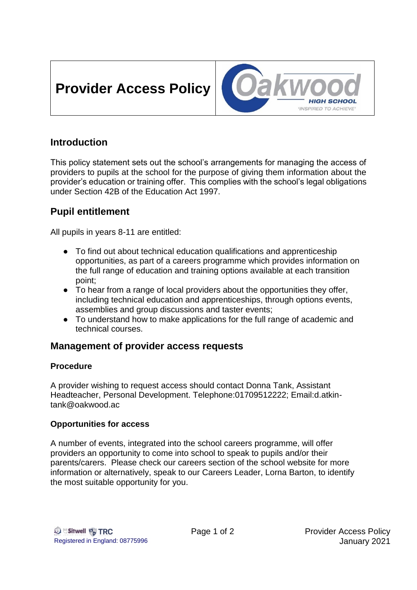# **Provider Access Policy**



# **Introduction**

This policy statement sets out the school's arrangements for managing the access of providers to pupils at the school for the purpose of giving them information about the provider's education or training offer. This complies with the school's legal obligations under Section 42B of the Education Act 1997.

# **Pupil entitlement**

All pupils in years 8-11 are entitled:

- To find out about technical education qualifications and apprenticeship opportunities, as part of a careers programme which provides information on the full range of education and training options available at each transition point;
- To hear from a range of local providers about the opportunities they offer, including technical education and apprenticeships, through options events, assemblies and group discussions and taster events;
- To understand how to make applications for the full range of academic and technical courses.

## **Management of provider access requests**

## **Procedure**

A provider wishing to request access should contact Donna Tank, Assistant Headteacher, Personal Development. Telephone:01709512222; Email:d.atkintank@oakwood.ac

## **Opportunities for access**

A number of events, integrated into the school careers programme, will offer providers an opportunity to come into school to speak to pupils and/or their parents/carers. Please check our careers section of the school website for more information or alternatively, speak to our Careers Leader, Lorna Barton, to identify the most suitable opportunity for you.